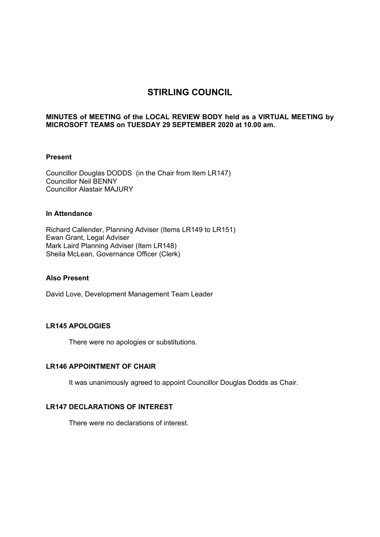# **STIRLING COUNCIL**

# **MINUTES of MEETING of the LOCAL REVIEW BODY held as a VIRTUAL MEETING by MICROSOFT TEAMS on TUESDAY 29 SEPTEMBER 2020 at 10.00 am.**

#### **Present**

Councillor Douglas DODDS (in the Chair from Item LR147) Councillor Neil BENNY Councillor Alastair MAJURY

## **In Attendance**

Richard Callender, Planning Adviser (Items LR149 to LR151) Ewan Grant, Legal Adviser Mark Laird Planning Adviser (Item LR148) Sheila McLean, Governance Officer (Clerk)

#### **Also Present**

David Love, Development Management Team Leader

# **LR145 APOLOGIES**

There were no apologies or substitutions.

# **LR146 APPOINTMENT OF CHAIR**

It was unanimously agreed to appoint Councillor Douglas Dodds as Chair.

# **LR147 DECLARATIONS OF INTEREST**

There were no declarations of interest.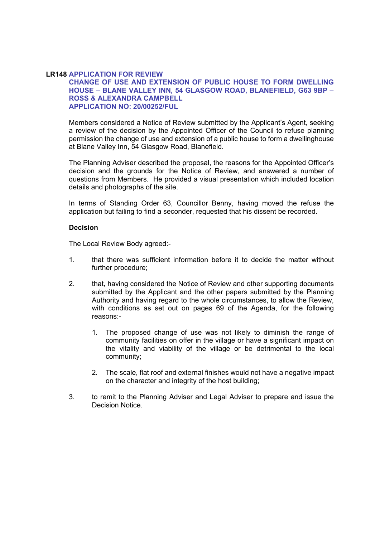#### **LR148 APPLICATION FOR REVIEW**

## **CHANGE OF USE AND EXTENSION OF PUBLIC HOUSE TO FORM DWELLING HOUSE – BLANE VALLEY INN, 54 GLASGOW ROAD, BLANEFIELD, G63 9BP – ROSS & ALEXANDRA CAMPBELL APPLICATION NO: 20/00252/FUL**

Members considered a Notice of Review submitted by the Applicant's Agent, seeking a review of the decision by the Appointed Officer of the Council to refuse planning permission the change of use and extension of a public house to form a dwellinghouse at Blane Valley Inn, 54 Glasgow Road, Blanefield.

The Planning Adviser described the proposal, the reasons for the Appointed Officer's decision and the grounds for the Notice of Review, and answered a number of questions from Members. He provided a visual presentation which included location details and photographs of the site.

In terms of Standing Order 63, Councillor Benny, having moved the refuse the application but failing to find a seconder, requested that his dissent be recorded.

#### **Decision**

The Local Review Body agreed:-

- 1. that there was sufficient information before it to decide the matter without further procedure;
- 2. that, having considered the Notice of Review and other supporting documents submitted by the Applicant and the other papers submitted by the Planning Authority and having regard to the whole circumstances, to allow the Review, with conditions as set out on pages 69 of the Agenda, for the following reasons:-
	- 1. The proposed change of use was not likely to diminish the range of community facilities on offer in the village or have a significant impact on the vitality and viability of the village or be detrimental to the local community;
	- 2. The scale, flat roof and external finishes would not have a negative impact on the character and integrity of the host building;
- 3. to remit to the Planning Adviser and Legal Adviser to prepare and issue the Decision Notice.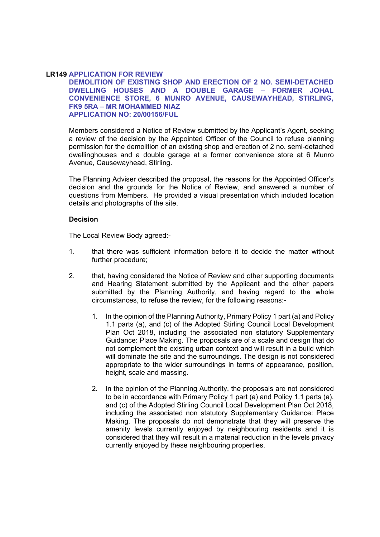#### **LR149 APPLICATION FOR REVIEW**

**DEMOLITION OF EXISTING SHOP AND ERECTION OF 2 NO. SEMI-DETACHED DWELLING HOUSES AND A DOUBLE GARAGE – FORMER JOHAL CONVENIENCE STORE, 6 MUNRO AVENUE, CAUSEWAYHEAD, STIRLING, FK9 5RA – MR MOHAMMED NIAZ APPLICATION NO: 20/00156/FUL** 

Members considered a Notice of Review submitted by the Applicant's Agent, seeking a review of the decision by the Appointed Officer of the Council to refuse planning permission for the demolition of an existing shop and erection of 2 no. semi-detached dwellinghouses and a double garage at a former convenience store at 6 Munro Avenue, Causewayhead, Stirling.

The Planning Adviser described the proposal, the reasons for the Appointed Officer's decision and the grounds for the Notice of Review, and answered a number of questions from Members. He provided a visual presentation which included location details and photographs of the site.

#### **Decision**

The Local Review Body agreed:-

- 1. that there was sufficient information before it to decide the matter without further procedure;
- 2. that, having considered the Notice of Review and other supporting documents and Hearing Statement submitted by the Applicant and the other papers submitted by the Planning Authority, and having regard to the whole circumstances, to refuse the review, for the following reasons:-
	- 1. In the opinion of the Planning Authority, Primary Policy 1 part (a) and Policy 1.1 parts (a), and (c) of the Adopted Stirling Council Local Development Plan Oct 2018, including the associated non statutory Supplementary Guidance: Place Making. The proposals are of a scale and design that do not complement the existing urban context and will result in a build which will dominate the site and the surroundings. The design is not considered appropriate to the wider surroundings in terms of appearance, position, height, scale and massing.
	- 2. In the opinion of the Planning Authority, the proposals are not considered to be in accordance with Primary Policy 1 part (a) and Policy 1.1 parts (a), and (c) of the Adopted Stirling Council Local Development Plan Oct 2018, including the associated non statutory Supplementary Guidance: Place Making. The proposals do not demonstrate that they will preserve the amenity levels currently enjoyed by neighbouring residents and it is considered that they will result in a material reduction in the levels privacy currently enjoyed by these neighbouring properties.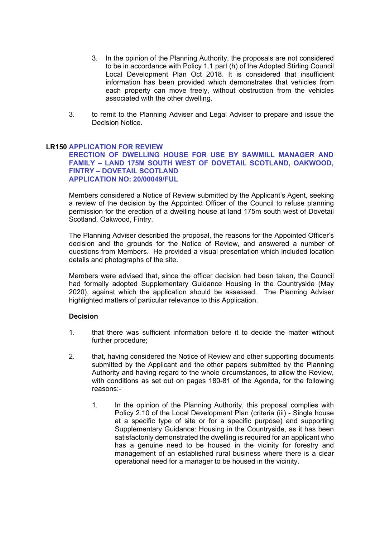- 3. In the opinion of the Planning Authority, the proposals are not considered to be in accordance with Policy 1.1 part (h) of the Adopted Stirling Council Local Development Plan Oct 2018. It is considered that insufficient information has been provided which demonstrates that vehicles from each property can move freely, without obstruction from the vehicles associated with the other dwelling.
- 3. to remit to the Planning Adviser and Legal Adviser to prepare and issue the Decision Notice.

# **LR150 APPLICATION FOR REVIEW**

#### **ERECTION OF DWELLING HOUSE FOR USE BY SAWMILL MANAGER AND FAMILY – LAND 175M SOUTH WEST OF DOVETAIL SCOTLAND, OAKWOOD, FINTRY – DOVETAIL SCOTLAND APPLICATION NO: 20/00049/FUL**

Members considered a Notice of Review submitted by the Applicant's Agent, seeking a review of the decision by the Appointed Officer of the Council to refuse planning permission for the erection of a dwelling house at land 175m south west of Dovetail Scotland, Oakwood, Fintry.

The Planning Adviser described the proposal, the reasons for the Appointed Officer's decision and the grounds for the Notice of Review, and answered a number of questions from Members. He provided a visual presentation which included location details and photographs of the site.

Members were advised that, since the officer decision had been taken, the Council had formally adopted Supplementary Guidance Housing in the Countryside (May 2020), against which the application should be assessed. The Planning Adviser highlighted matters of particular relevance to this Application.

# **Decision**

- 1. that there was sufficient information before it to decide the matter without further procedure;
- 2. that, having considered the Notice of Review and other supporting documents submitted by the Applicant and the other papers submitted by the Planning Authority and having regard to the whole circumstances, to allow the Review, with conditions as set out on pages 180-81 of the Agenda, for the following reasons:-
	- 1. In the opinion of the Planning Authority, this proposal complies with Policy 2.10 of the Local Development Plan (criteria (iii) - Single house at a specific type of site or for a specific purpose) and supporting Supplementary Guidance: Housing in the Countryside, as it has been satisfactorily demonstrated the dwelling is required for an applicant who has a genuine need to be housed in the vicinity for forestry and management of an established rural business where there is a clear operational need for a manager to be housed in the vicinity.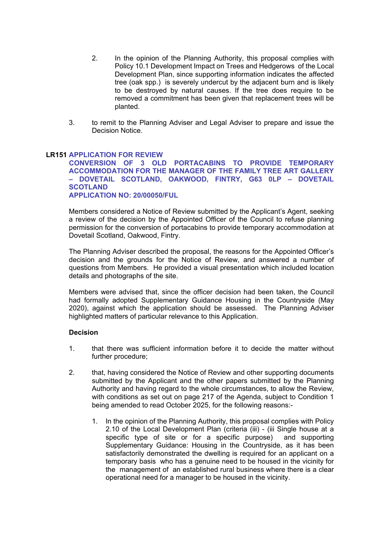- 2. In the opinion of the Planning Authority, this proposal complies with Policy 10.1 Development Impact on Trees and Hedgerows of the Local Development Plan, since supporting information indicates the affected tree (oak spp.) is severely undercut by the adjacent burn and is likely to be destroyed by natural causes. If the tree does require to be removed a commitment has been given that replacement trees will be planted.
- 3. to remit to the Planning Adviser and Legal Adviser to prepare and issue the Decision Notice.

# **LR151 APPLICATION FOR REVIEW**

**CONVERSION OF 3 OLD PORTACABINS TO PROVIDE TEMPORARY ACCOMMODATION FOR THE MANAGER OF THE FAMILY TREE ART GALLERY – DOVETAIL SCOTLAND, OAKWOOD, FINTRY, G63 0LP – DOVETAIL SCOTLAND APPLICATION NO: 20/00050/FUL** 

Members considered a Notice of Review submitted by the Applicant's Agent, seeking a review of the decision by the Appointed Officer of the Council to refuse planning permission for the conversion of portacabins to provide temporary accommodation at Dovetail Scotland, Oakwood, Fintry.

The Planning Adviser described the proposal, the reasons for the Appointed Officer's decision and the grounds for the Notice of Review, and answered a number of questions from Members. He provided a visual presentation which included location details and photographs of the site.

Members were advised that, since the officer decision had been taken, the Council had formally adopted Supplementary Guidance Housing in the Countryside (May 2020), against which the application should be assessed. The Planning Adviser highlighted matters of particular relevance to this Application.

# **Decision**

- 1. that there was sufficient information before it to decide the matter without further procedure;
- 2. that, having considered the Notice of Review and other supporting documents submitted by the Applicant and the other papers submitted by the Planning Authority and having regard to the whole circumstances, to allow the Review, with conditions as set out on page 217 of the Agenda, subject to Condition 1 being amended to read October 2025, for the following reasons:-
	- 1. In the opinion of the Planning Authority, this proposal complies with Policy 2.10 of the Local Development Plan (criteria (iii) - (iii Single house at a specific type of site or for a specific purpose) and supporting Supplementary Guidance: Housing in the Countryside, as it has been satisfactorily demonstrated the dwelling is required for an applicant on a temporary basis who has a genuine need to be housed in the vicinity for the management of an established rural business where there is a clear operational need for a manager to be housed in the vicinity.